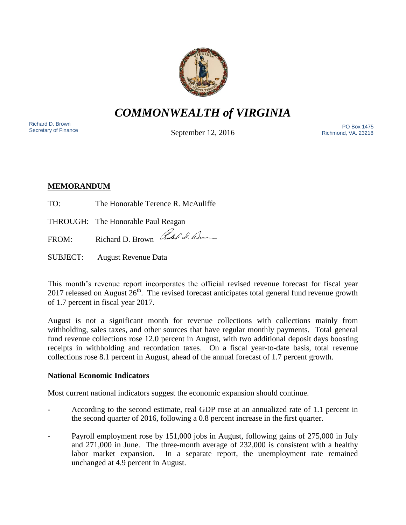

*COMMONWEALTH of VIRGINIA*

Richard D. Brown<br>Secretary of Finance

September 12, 2016

Secretary of Finance<br>Secretary of Finance **Secretary of Finance** PO Box 1475 Richmond, VA. 23218

# **MEMORANDUM**

TO: The Honorable Terence R. McAuliffe

THROUGH: The Honorable Paul Reagan

FROM: Richard D. Brown Rubble D. Lum

SUBJECT: August Revenue Data

This month's revenue report incorporates the official revised revenue forecast for fiscal year 2017 released on August  $26<sup>th</sup>$ . The revised forecast anticipates total general fund revenue growth of 1.7 percent in fiscal year 2017.

August is not a significant month for revenue collections with collections mainly from withholding, sales taxes, and other sources that have regular monthly payments. Total general fund revenue collections rose 12.0 percent in August, with two additional deposit days boosting receipts in withholding and recordation taxes. On a fiscal year-to-date basis, total revenue collections rose 8.1 percent in August, ahead of the annual forecast of 1.7 percent growth.

## **National Economic Indicators**

Most current national indicators suggest the economic expansion should continue.

- According to the second estimate, real GDP rose at an annualized rate of 1.1 percent in the second quarter of 2016, following a 0.8 percent increase in the first quarter.
- Payroll employment rose by 151,000 jobs in August, following gains of 275,000 in July and 271,000 in June. The three-month average of 232,000 is consistent with a healthy labor market expansion. In a separate report, the unemployment rate remained unchanged at 4.9 percent in August.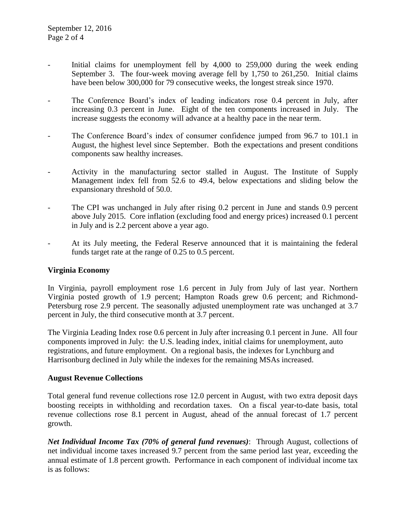- Initial claims for unemployment fell by  $4,000$  to  $259,000$  during the week ending September 3. The four-week moving average fell by 1,750 to 261,250. Initial claims have been below 300,000 for 79 consecutive weeks, the longest streak since 1970.
- The Conference Board's index of leading indicators rose 0.4 percent in July, after increasing 0.3 percent in June. Eight of the ten components increased in July. The increase suggests the economy will advance at a healthy pace in the near term.
- The Conference Board's index of consumer confidence jumped from 96.7 to 101.1 in August, the highest level since September. Both the expectations and present conditions components saw healthy increases.
- Activity in the manufacturing sector stalled in August. The Institute of Supply Management index fell from 52.6 to 49.4, below expectations and sliding below the expansionary threshold of 50.0.
- The CPI was unchanged in July after rising 0.2 percent in June and stands 0.9 percent above July 2015. Core inflation (excluding food and energy prices) increased 0.1 percent in July and is 2.2 percent above a year ago.
- At its July meeting, the Federal Reserve announced that it is maintaining the federal funds target rate at the range of 0.25 to 0.5 percent.

## **Virginia Economy**

In Virginia, payroll employment rose 1.6 percent in July from July of last year. Northern Virginia posted growth of 1.9 percent; Hampton Roads grew 0.6 percent; and Richmond-Petersburg rose 2.9 percent. The seasonally adjusted unemployment rate was unchanged at 3.7 percent in July, the third consecutive month at 3.7 percent.

The Virginia Leading Index rose 0.6 percent in July after increasing 0.1 percent in June. All four components improved in July: the U.S. leading index, initial claims for unemployment, auto registrations, and future employment. On a regional basis, the indexes for Lynchburg and Harrisonburg declined in July while the indexes for the remaining MSAs increased.

#### **August Revenue Collections**

Total general fund revenue collections rose 12.0 percent in August, with two extra deposit days boosting receipts in withholding and recordation taxes. On a fiscal year-to-date basis, total revenue collections rose 8.1 percent in August, ahead of the annual forecast of 1.7 percent growth.

*Net Individual Income Tax (70% of general fund revenues)*: Through August, collections of net individual income taxes increased 9.7 percent from the same period last year, exceeding the annual estimate of 1.8 percent growth. Performance in each component of individual income tax is as follows: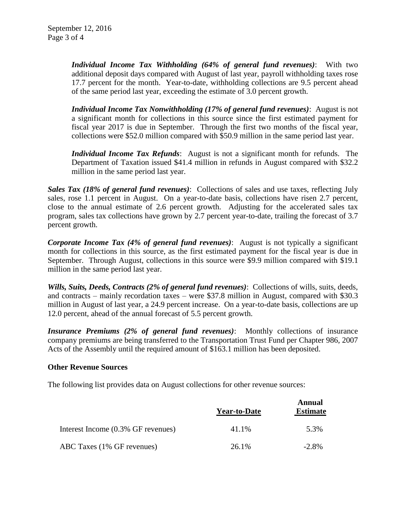*Individual Income Tax Withholding (64% of general fund revenues)*: With two additional deposit days compared with August of last year, payroll withholding taxes rose 17.7 percent for the month. Year-to-date, withholding collections are 9.5 percent ahead of the same period last year, exceeding the estimate of 3.0 percent growth.

*Individual Income Tax Nonwithholding (17% of general fund revenues)*: August is not a significant month for collections in this source since the first estimated payment for fiscal year 2017 is due in September. Through the first two months of the fiscal year, collections were \$52.0 million compared with \$50.9 million in the same period last year.

*Individual Income Tax Refunds*: August is not a significant month for refunds. The Department of Taxation issued \$41.4 million in refunds in August compared with \$32.2 million in the same period last year.

*Sales Tax (18% of general fund revenues)*: Collections of sales and use taxes, reflecting July sales, rose 1.1 percent in August. On a year-to-date basis, collections have risen 2.7 percent, close to the annual estimate of 2.6 percent growth. Adjusting for the accelerated sales tax program, sales tax collections have grown by 2.7 percent year-to-date, trailing the forecast of 3.7 percent growth.

*Corporate Income Tax (4% of general fund revenues)*: August is not typically a significant month for collections in this source, as the first estimated payment for the fiscal year is due in September. Through August, collections in this source were \$9.9 million compared with \$19.1 million in the same period last year.

*Wills, Suits, Deeds, Contracts (2% of general fund revenues)*: Collections of wills, suits, deeds, and contracts – mainly recordation taxes – were \$37.8 million in August, compared with \$30.3 million in August of last year, a 24.9 percent increase. On a year-to-date basis, collections are up 12.0 percent, ahead of the annual forecast of 5.5 percent growth.

*Insurance Premiums (2% of general fund revenues)*: Monthly collections of insurance company premiums are being transferred to the Transportation Trust Fund per Chapter 986, 2007 Acts of the Assembly until the required amount of \$163.1 million has been deposited.

#### **Other Revenue Sources**

The following list provides data on August collections for other revenue sources:

|                                    | <b>Year-to-Date</b> | Annual<br><b>Estimate</b> |
|------------------------------------|---------------------|---------------------------|
| Interest Income (0.3% GF revenues) | 41.1%               | 5.3%                      |
| ABC Taxes (1% GF revenues)         | $26.1\%$            | $-2.8\%$                  |